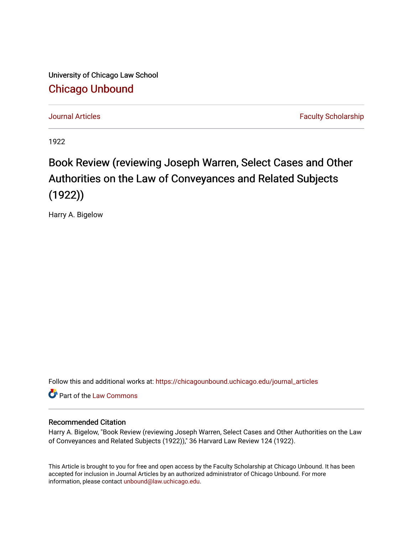University of Chicago Law School [Chicago Unbound](https://chicagounbound.uchicago.edu/)

[Journal Articles](https://chicagounbound.uchicago.edu/journal_articles) **Faculty Scholarship Journal Articles** 

1922

## Book Review (reviewing Joseph Warren, Select Cases and Other Authorities on the Law of Conveyances and Related Subjects (1922))

Harry A. Bigelow

Follow this and additional works at: [https://chicagounbound.uchicago.edu/journal\\_articles](https://chicagounbound.uchicago.edu/journal_articles?utm_source=chicagounbound.uchicago.edu%2Fjournal_articles%2F2681&utm_medium=PDF&utm_campaign=PDFCoverPages) 

Part of the [Law Commons](http://network.bepress.com/hgg/discipline/578?utm_source=chicagounbound.uchicago.edu%2Fjournal_articles%2F2681&utm_medium=PDF&utm_campaign=PDFCoverPages)

## Recommended Citation

Harry A. Bigelow, "Book Review (reviewing Joseph Warren, Select Cases and Other Authorities on the Law of Conveyances and Related Subjects (1922))," 36 Harvard Law Review 124 (1922).

This Article is brought to you for free and open access by the Faculty Scholarship at Chicago Unbound. It has been accepted for inclusion in Journal Articles by an authorized administrator of Chicago Unbound. For more information, please contact [unbound@law.uchicago.edu](mailto:unbound@law.uchicago.edu).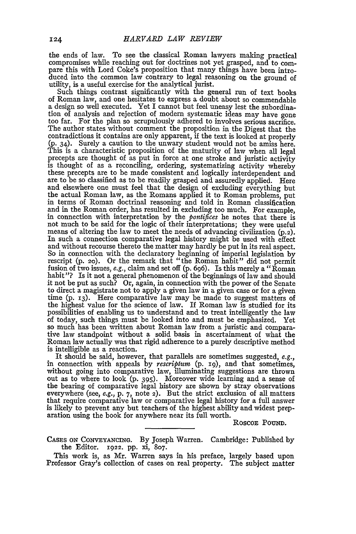the ends of law. To see the classical Roman lawyers making practical compromises while reaching out for doctrines not yet grasped, and to compare this with Lord Coke's proposition that many things have been introduced into the common law contrary to legal reasoning on the ground of utility, is a useful exercise for the analytical jurist.

Such things contrast significantly with the general run of text books of Roman law, and one hesitates to express a doubt about so commendable a design so well executed. Yet **I** cannot but feel uneasy lest the subordination of analysis and rejection of modem systematic ideas may have gone too far. For the plan so scrupulously adhered to involves serious sacrifice. The author states without comment the proposition in the Digest that the contradictions it contains are only apparent, **if** the text is looked at properly **(p.** 34). Surely a caution to the unwary student would not be amiss here. This is a characteristic proposition of the maturity of law when all legal precepts are thought of as put in force at one stroke and juristic activity is thought of as a reconciling, ordering, systematizing activity whereby these precepts are to be made consistent and logically interdependent and are to be so classified as to be readily grasped and assuredly applied. Here and elsewhere one must feel that the design of excluding everything but the actual Roman law, as the Romans applied it to Roman problems, put in terms of Roman doctrinal reasoning and told in Roman classification and in the Roman order, has resulted in excluding too much. For example, in connection with interpretation by the *pontifices* he notes that there is not much to be said for the logic of their interpretations; they were useful means of altering the law to meet the needs of advancing civilization (p.2). In such a connection comparative legal history might be used with effect and without recourse thereto the matter may hardly be put in its real aspect. So in connection with the declaratory beginning of imperial legislation by rescript (p. 20). Or the remark that "the Roman habit" did not permit fusion of two issues, *e.g.,* claim and set off (p. *696).* Is this merely a "Roman habit"? Is it not a general phenomenon of the beginnings of law and should it not be put as such? Or, again, in connection with the power of the Senate to direct a magistrate not to apply a given law in a given case or for a given time (p. 13). Here comparative law may be made to suggest matters of the highest value for the science of law. If Roman law is studied for its possibilities of enabling us to understand and to treat intelligently the law of today, such things must be looked into and must be emphasized. Yet so much has been written about Roman law from a juristic and comparative law standpoint without a solid basis in ascertainment of what the Roman law actually was that rigid adherence to a purely descriptive method is intelligible as a reaction.

It should be said, however, that parallels are sometimes suggested, e.g., in connection with appeals by *rescriptum* **(p.** ig), and that sometimes, without going into comparative law, illuminating suggestions are thrown out as to where to look **(p.** 395). Moreover wide learning and a sense of the bearing of comparative legal history are shown by stray observations everywhere (see, *e.g.,* p. 7, note 2). But the strict exclusion of all matters that require comparative law or comparative legal history for a full answer is likely to prevent any but teachers of the highest ability and widest preparation using the book for anywhere near its full worth.

RoscoE POUND.

CASES ON CoNvEYANclNG. By Joseph Warren. Cambridge: Published by the Editor. 1922. **pp.** xi, 807.

This work is, as Mr. Warren says in his preface, largely based upon Professor Gray's collection of cases on real property. The subject matter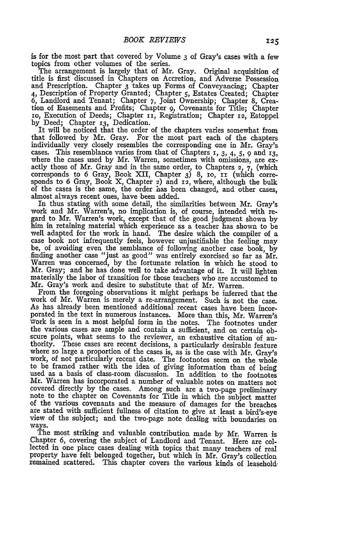is for the most part that covered by Volume 3 of Gray's cases with a few topics from other volumes of the series.

The arrangement is largely that of Mr. Gray. Original acquisition of title is first discussed in Chapters on Accretion, and Adverse Possession and Prescription. Chapter 3 takes up Forms of Conveyancing; Chapter 4, Description of Property Granted; Chapter *5,* Estates Created; Chapter 6, Landlord and Tenant; Chapter 7, Joint Ownership; Chapter 8, Creation of Easements and Profits; Chapter **9,** Covenants for Title; Chapter io, Execution of Deeds; Chapter **ii,** Registration; Chapter **12,** Estoppel by Deed; Chapter **13,** Dedication.

It will be noticed that the order of the chapters varies somewhat from that followed by Mr. Gray. For the most part each of the chapters individually very closely resembles the corresponding one in Mr. Gray's cases. This resemblance varies from that of Chapters **r**, 3, 4, 5, 9 and **13**, where the cases used by Mr. Warren, sometimes with omissions, are exwhere the cases used by Mr. Warren, sometimes with omissions, are ex-<br>actly those of Mr. Gray and in the same order, to Chapters 2, 7, (which corresponds to 6 Gray, Book XII, Chapter 3) 8, io, **ii** (which corre- sponds to 6 Gray, Book X, Chapter 2) and **12,** where, although the bulk of the cases is the same, the order has been changed, and other cases, almost always recent ones, have been added.

In thus stating with some detail, the similarities between Mr. Gray's work and Mr. Warren's, no implication is, of course, intended with re- gard to Mr. Warren's work, except that of the good judgment shown by gard to Mr. Warren's work, except that of the good judgment shown by him in retaining material which experience as a teacher has shown to be well adapted for the work in hand. The desire which the compiler of a case book not infrequently feels, however unjustifiable the feeling may be, of avoiding even the semblance of following another case book, by finding another case "just as good" was entirely exorcised so far as Mr. Warren was concerned, by the fortunate relation in which he stood to Mr. Gray; and he has done well to take advantage of it. It will lighten materially the labor of transition for those teachers who are accustomed to Mr. Gray's work and desire to substitute that of Mr. Warren.

From the foregoing observations it might perhaps be inferred that the work of Mr. Warren is merely a re-arrangement. Such is not the case. As has already been mentioned additional recent cases have been incorporated in the text in numerous instances. More than this, Mr. Warren's work is seen in a most helpful form in the notes. The footnotes under the various cases are ample and contain a sufficient, and on certain ob-<br>scure points, what seems to the reviewer, an exhaustive citation of au-<br>thority. These cases are recent decisions, a particularly desirable feature where so large a proportion of the cases is, as is the case with Mr. Gray's work, of not particularly recent date. The footnotes seem on the whole to be framed rather with the idea of giving information than of being used as a basis of class-room discussion. In addition to the footnotes used as a basis of class-room discussion. In addition to the footnotes Mr. Warren has incorporated a number of valuable notes on matters not covered directly by the cases. Among such are a two-page preliminary note to the chapter on Covenants for Title in which the subject matter of the various covenants and the measure of damages for the breaches are stated with sufficient fullness of citation to give at least a bird's-eye view of the subject; and the two-page note dealing with boundaries on ways.

The most striking and valuable contribution made by Mr. Warren is Chapter 6, covering the subject of Landlord and Tenant. Here are collected in one place cases dealing with topics that many teachers of real property have felt belonged together, but which in Mr. Gray's collection remained scattered. This chapter covers the various kinds of leasehold.